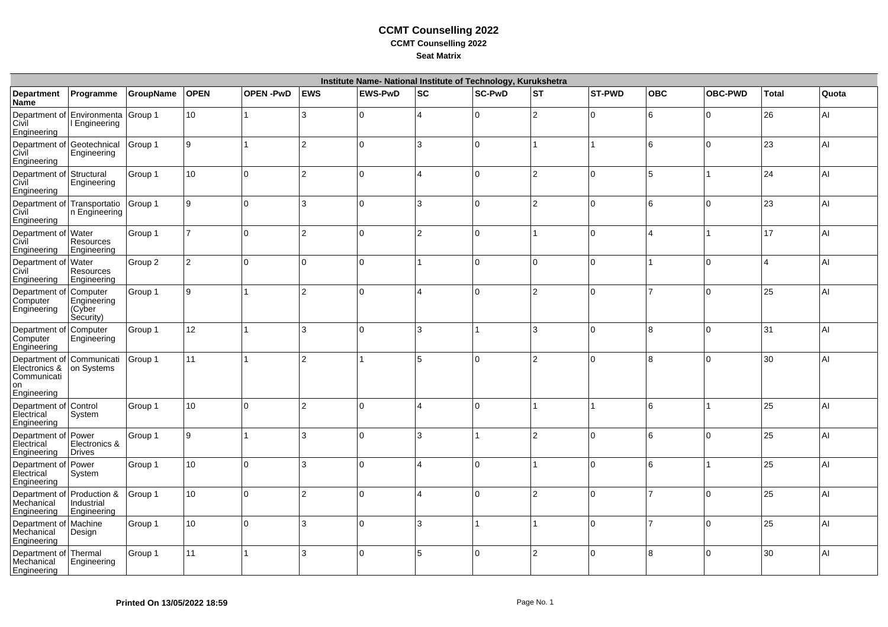## **CCMT Counselling 2022CCMT Counselling 2022Seat Matrix**

| Institute Name- National Institute of Technology, Kurukshetra                  |                                                      |           |              |          |                |                |     |                |     |               |                |                |                         |       |
|--------------------------------------------------------------------------------|------------------------------------------------------|-----------|--------------|----------|----------------|----------------|-----|----------------|-----|---------------|----------------|----------------|-------------------------|-------|
| <b>Department</b><br>Name                                                      | Programme                                            | GroupName | <b>OPEN</b>  | OPEN-PwD | <b>EWS</b>     | <b>EWS-PwD</b> | lsc | <b>SC-PwD</b>  | lst | <b>ST-PWD</b> | <b>OBC</b>     | <b>OBC-PWD</b> | <b>Total</b>            | Quota |
| Civil<br>Engineering                                                           | Department of Environmenta Group 1<br>I Engineering  |           | 10           |          | 3              | $\Omega$       | ⊿ ا | 10             | 2   | 10            | 16             | l0             | 26                      | AI    |
| Department of Geotechnical<br>Civil<br>Engineering                             | Engineering                                          | Group 1   | 9            |          | $\overline{2}$ | $\Omega$       | Iз  | ١o             |     | 1             | 16             | I٥             | 23                      | AI    |
| Department of Structural<br>Civil<br>Engineering                               | Engineering                                          | Group 1   | 10           | $\Omega$ | $\overline{2}$ | $\Omega$       | ⊿ ا | l0             | 2   | l0            | 5              |                | 24                      | AI    |
| Civil<br>Engineering                                                           | Department of Transportatio Group 1<br>n Engineering |           | 9            | U        | 3              | $\Omega$       | Iз  | I٥             | l2  | ١o            | l6             | I٥             | 23                      | AI    |
| Department of Water<br>Civil<br>Engineering                                    | Resources<br>Engineering                             | Group 1   |              | $\Omega$ | $\overline{2}$ | $\Omega$       | 2   | I٥             |     | ١o            | $\overline{A}$ |                | 17                      | AI    |
| Department of Water<br>Civil<br>Engineering                                    | <b>Resources</b><br>Engineering                      | Group 2   | 2            | $\Omega$ | 0              | $\Omega$       |     | l o            | I٥  | lo.           |                | I٥             | $\overline{\mathbf{A}}$ | AI    |
| Department<br>ി<br>Computer<br>Engineering                                     | Computer<br>Engineering<br>(Cyber<br>Security)       | Group 1   | 9            |          | $\overline{2}$ | $\Omega$       | l 4 | I٥             | l2  | I٥            | 17             | I٥             | 25                      | AI    |
| Department o<br>Computer<br>Engineering                                        | Computer<br>Engineering                              | Group 1   | 12           |          | 3              | $\Omega$       | Iз  | $\overline{1}$ | l3  | ١o            | 8              | I٥             | 31                      | AI    |
| Department of Communicati<br>Electronics &<br>Communicati<br>on<br>Engineering | on Systems                                           | Group 1   | 11           |          | $\overline{2}$ | 1              | 5   | l O            | l2  | lo            | 8              | I٥             | 30                      | AI    |
| Department of Control<br>Electrical<br>Engineering                             | System                                               | Group 1   | 10           | $\Omega$ | $\overline{2}$ | 0              | I⊿  | ١o             |     |               | 16             |                | 25                      | AI    |
| Department of Power<br>Electrical<br>Engineering                               | Electronics &<br>Drives                              | Group 1   | $\mathbf{Q}$ |          | 3              | $\Omega$       | Iз  |                | 2   | ١o            | 6              | I٥             | 25                      | AI    |
| Department of<br>Electrical<br>Engineering                                     | Power<br>System                                      | Group 1   | 10           | $\Omega$ | 3              | $\Omega$       | 14  | ١o             |     | lo            | 16             |                | 25                      | AI    |
| Department of Production &<br>Mechanical<br>Engineering                        | Industrial<br>Engineering                            | Group 1   | 10           | $\Omega$ | $\overline{2}$ | $\Omega$       | l⊿  | I٥             | l2  | ١o            | 17             | I٥             | 25                      | AI    |
| Department of Machine<br>Mechanical<br>Engineering                             | Design                                               | Group 1   | 10           | $\Omega$ | 3              | $\Omega$       | 3   | $\overline{1}$ |     | ١o            |                | I٥             | 25                      | AI    |
| Department of<br>Mechanical<br>Engineering                                     | Thermal<br>Engineering                               | Group 1   | 11           |          | 3              | $\Omega$       | l5  | l O            | l2  | ١o            | 8              | I٥             | 30                      | AI    |